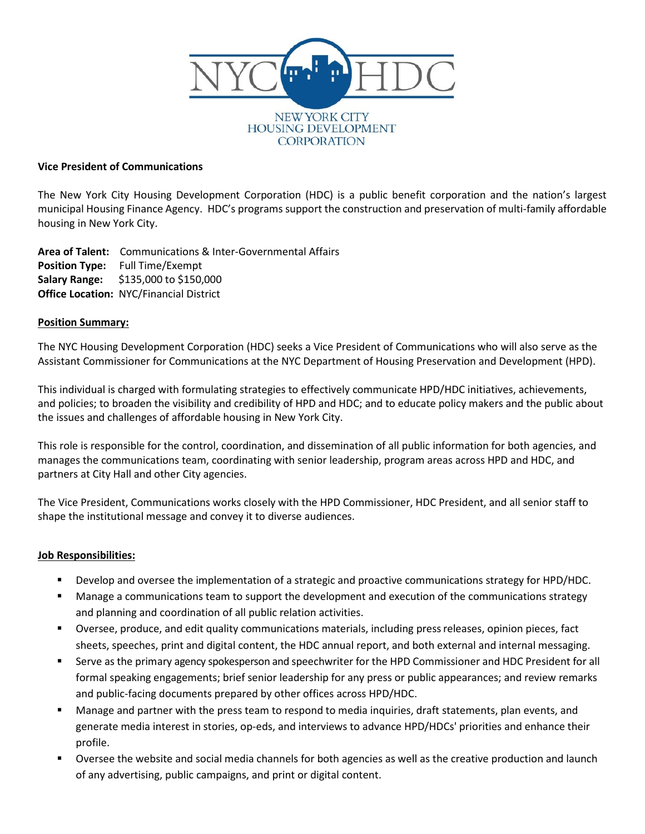

### **Vice President of Communications**

The New York City Housing Development Corporation (HDC) is a public benefit corporation and the nation's largest municipal Housing Finance Agency. HDC's programs support the construction and preservation of multi-family affordable housing in New York City.

**Area of Talent:** Communications & Inter-Governmental Affairs **Position Type:** Full Time/Exempt **Salary Range:** \$135,000 to \$150,000 **Office Location:** NYC/Financial District

### **Position Summary:**

The NYC Housing Development Corporation (HDC) seeks a Vice President of Communications who will also serve as the Assistant Commissioner for Communications at the NYC Department of Housing Preservation and Development (HPD).

This individual is charged with formulating strategies to effectively communicate HPD/HDC initiatives, achievements, and policies; to broaden the visibility and credibility of HPD and HDC; and to educate policy makers and the public about the issues and challenges of affordable housing in New York City.

This role is responsible for the control, coordination, and dissemination of all public information for both agencies, and manages the communications team, coordinating with senior leadership, program areas across HPD and HDC, and partners at City Hall and other City agencies.

The Vice President, Communications works closely with the HPD Commissioner, HDC President, and all senior staff to shape the institutional message and convey it to diverse audiences.

## **Job Responsibilities:**

- Develop and oversee the implementation of a strategic and proactive communications strategy for HPD/HDC.
- **Manage a communications team to support the development and execution of the communications strategy** and planning and coordination of all public relation activities.
- Oversee, produce, and edit quality communications materials, including pressreleases, opinion pieces, fact sheets, speeches, print and digital content, the HDC annual report, and both external and internal messaging.
- Serve as the primary agency spokesperson and speechwriter for the HPD Commissioner and HDC President for all formal speaking engagements; brief senior leadership for any press or public appearances; and review remarks and public-facing documents prepared by other offices across HPD/HDC.
- Manage and partner with the press team to respond to media inquiries, draft statements, plan events, and generate media interest in stories, op-eds, and interviews to advance HPD/HDCs' priorities and enhance their profile.
- Oversee the website and social media channels for both agencies as well as the creative production and launch of any advertising, public campaigns, and print or digital content.